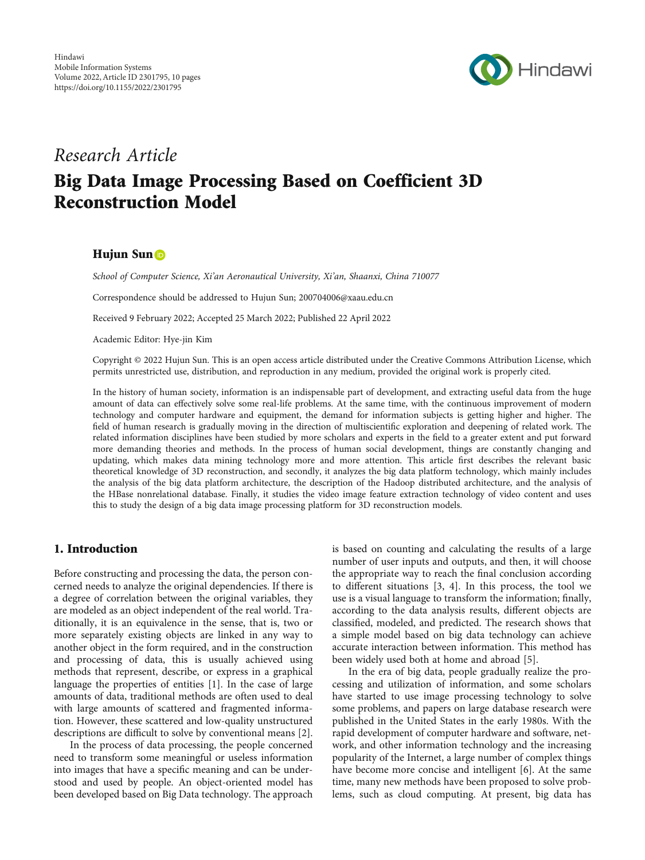

# Research Article Big Data Image Processing Based on Coefficient 3D Reconstruction Model

#### Hujun Sun D

School of Computer Science, Xi'an Aeronautical University, Xi'an, Shaanxi, China 710077

Correspondence should be addressed to Hujun Sun; 200704006@xaau.edu.cn

Received 9 February 2022; Accepted 25 March 2022; Published 22 April 2022

Academic Editor: Hye-jin Kim

Copyright © 2022 Hujun Sun. This is an open access article distributed under the [Creative Commons Attribution License,](https://creativecommons.org/licenses/by/4.0/) which permits unrestricted use, distribution, and reproduction in any medium, provided the original work is properly cited.

In the history of human society, information is an indispensable part of development, and extracting useful data from the huge amount of data can effectively solve some real-life problems. At the same time, with the continuous improvement of modern technology and computer hardware and equipment, the demand for information subjects is getting higher and higher. The field of human research is gradually moving in the direction of multiscientific exploration and deepening of related work. The related information disciplines have been studied by more scholars and experts in the field to a greater extent and put forward more demanding theories and methods. In the process of human social development, things are constantly changing and updating, which makes data mining technology more and more attention. This article first describes the relevant basic theoretical knowledge of 3D reconstruction, and secondly, it analyzes the big data platform technology, which mainly includes the analysis of the big data platform architecture, the description of the Hadoop distributed architecture, and the analysis of the HBase nonrelational database. Finally, it studies the video image feature extraction technology of video content and uses this to study the design of a big data image processing platform for 3D reconstruction models.

# 1. Introduction

Before constructing and processing the data, the person concerned needs to analyze the original dependencies. If there is a degree of correlation between the original variables, they are modeled as an object independent of the real world. Traditionally, it is an equivalence in the sense, that is, two or more separately existing objects are linked in any way to another object in the form required, and in the construction and processing of data, this is usually achieved using methods that represent, describe, or express in a graphical language the properties of entities [[1\]](#page-8-0). In the case of large amounts of data, traditional methods are often used to deal with large amounts of scattered and fragmented information. However, these scattered and low-quality unstructured descriptions are difficult to solve by conventional means [[2](#page-8-0)].

In the process of data processing, the people concerned need to transform some meaningful or useless information into images that have a specific meaning and can be understood and used by people. An object-oriented model has been developed based on Big Data technology. The approach is based on counting and calculating the results of a large number of user inputs and outputs, and then, it will choose the appropriate way to reach the final conclusion according to different situations [[3](#page-8-0), [4\]](#page-8-0). In this process, the tool we use is a visual language to transform the information; finally, according to the data analysis results, different objects are classified, modeled, and predicted. The research shows that a simple model based on big data technology can achieve accurate interaction between information. This method has been widely used both at home and abroad [\[5](#page-8-0)].

In the era of big data, people gradually realize the processing and utilization of information, and some scholars have started to use image processing technology to solve some problems, and papers on large database research were published in the United States in the early 1980s. With the rapid development of computer hardware and software, network, and other information technology and the increasing popularity of the Internet, a large number of complex things have become more concise and intelligent [[6\]](#page-8-0). At the same time, many new methods have been proposed to solve problems, such as cloud computing. At present, big data has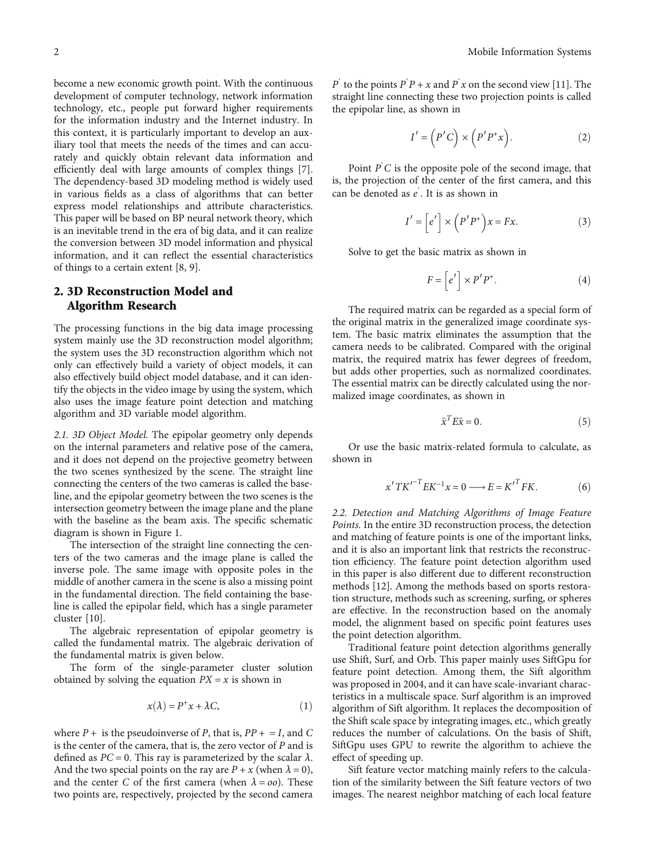become a new economic growth point. With the continuous development of computer technology, network information technology, etc., people put forward higher requirements for the information industry and the Internet industry. In this context, it is particularly important to develop an auxiliary tool that meets the needs of the times and can accurately and quickly obtain relevant data information and efficiently deal with large amounts of complex things [[7](#page-8-0)]. The dependency-based 3D modeling method is widely used in various fields as a class of algorithms that can better express model relationships and attribute characteristics. This paper will be based on BP neural network theory, which is an inevitable trend in the era of big data, and it can realize the conversion between 3D model information and physical information, and it can reflect the essential characteristics of things to a certain extent [[8](#page-8-0), [9\]](#page-8-0).

## 2. 3D Reconstruction Model and Algorithm Research

The processing functions in the big data image processing system mainly use the 3D reconstruction model algorithm; the system uses the 3D reconstruction algorithm which not only can effectively build a variety of object models, it can also effectively build object model database, and it can identify the objects in the video image by using the system, which also uses the image feature point detection and matching algorithm and 3D variable model algorithm.

2.1. 3D Object Model. The epipolar geometry only depends on the internal parameters and relative pose of the camera, and it does not depend on the projective geometry between the two scenes synthesized by the scene. The straight line connecting the centers of the two cameras is called the baseline, and the epipolar geometry between the two scenes is the intersection geometry between the image plane and the plane with the baseline as the beam axis. The specific schematic diagram is shown in Figure [1](#page-2-0).

The intersection of the straight line connecting the centers of the two cameras and the image plane is called the inverse pole. The same image with opposite poles in the middle of another camera in the scene is also a missing point in the fundamental direction. The field containing the baseline is called the epipolar field, which has a single parameter cluster [[10](#page-8-0)].

The algebraic representation of epipolar geometry is called the fundamental matrix. The algebraic derivation of the fundamental matrix is given below.

The form of the single-parameter cluster solution obtained by solving the equation  $PX = x$  is shown in

$$
x(\lambda) = P^+ x + \lambda C, \tag{1}
$$

where  $P +$  is the pseudoinverse of P, that is,  $PP + = I$ , and C is the center of the camera, that is, the zero vector of *P* and is defined as  $PC = 0$ . This ray is parameterized by the scalar  $\lambda$ . And the two special points on the ray are  $P + x$  (when  $\lambda = 0$ ), and the center *C* of the first camera (when  $\lambda = oo$ ). These two points are, respectively, projected by the second camera

*P*' to the points *P*' *P* + *x* and *P*' *x* on the second view [[11\]](#page-8-0). The straight line connecting these two projection points is called straight line connecting these two projection points is called the epipolar line, as shown in

$$
I' = (P'C) \times (P'P^+x). \tag{2}
$$

Point *P*<sup>'</sup>*C* is the opposite pole of the second image, that he projection of the center of the first camera and this is, the projection of the center of the first camera, and this can be denoted as *e*' . It is as shown in

$$
I' = \left[e'\right] \times \left(P'P^+\right)x = Fx. \tag{3}
$$

Solve to get the basic matrix as shown in

$$
F = \left[ e' \right] \times P' P^+.
$$
 (4)

The required matrix can be regarded as a special form of the original matrix in the generalized image coordinate system. The basic matrix eliminates the assumption that the camera needs to be calibrated. Compared with the original matrix, the required matrix has fewer degrees of freedom, but adds other properties, such as normalized coordinates. The essential matrix can be directly calculated using the normalized image coordinates, as shown in

$$
\tilde{\mathbf{x}}^T E \tilde{\mathbf{x}} = 0. \tag{5}
$$

Or use the basic matrix-related formula to calculate, as shown in

$$
x'TK'^{-T}EK^{-1}x = 0 \longrightarrow E = K'^{T}FK.
$$
 (6)

2.2. Detection and Matching Algorithms of Image Feature Points. In the entire 3D reconstruction process, the detection and matching of feature points is one of the important links, and it is also an important link that restricts the reconstruction efficiency. The feature point detection algorithm used in this paper is also different due to different reconstruction methods [[12](#page-8-0)]. Among the methods based on sports restoration structure, methods such as screening, surfing, or spheres are effective. In the reconstruction based on the anomaly model, the alignment based on specific point features uses the point detection algorithm.

Traditional feature point detection algorithms generally use Shift, Surf, and Orb. This paper mainly uses SiftGpu for feature point detection. Among them, the Sift algorithm was proposed in 2004, and it can have scale-invariant characteristics in a multiscale space. Surf algorithm is an improved algorithm of Sift algorithm. It replaces the decomposition of the Shift scale space by integrating images, etc., which greatly reduces the number of calculations. On the basis of Shift, SiftGpu uses GPU to rewrite the algorithm to achieve the effect of speeding up.

Sift feature vector matching mainly refers to the calculation of the similarity between the Sift feature vectors of two images. The nearest neighbor matching of each local feature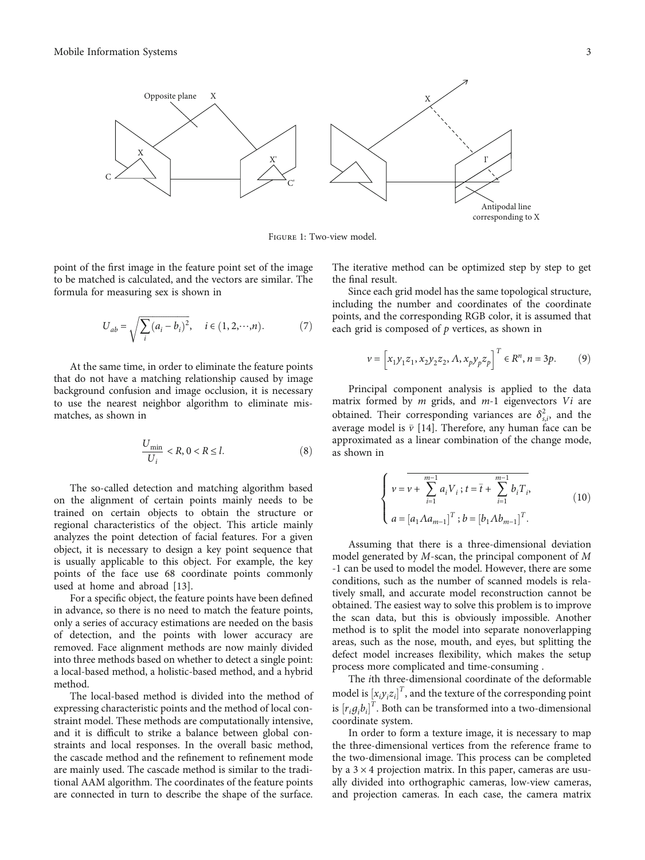<span id="page-2-0"></span>

Figure 1: Two-view model.

point of the first image in the feature point set of the image to be matched is calculated, and the vectors are similar. The formula for measuring sex is shown in

$$
U_{ab} = \sqrt{\sum_{i} (a_i - b_i)^2}, \quad i \in (1, 2, \cdots, n). \tag{7}
$$

At the same time, in order to eliminate the feature points that do not have a matching relationship caused by image background confusion and image occlusion, it is necessary to use the nearest neighbor algorithm to eliminate mismatches, as shown in

$$
\frac{U_{\min}}{U_i} < R, \, 0 < R \le l. \tag{8}
$$

The so-called detection and matching algorithm based on the alignment of certain points mainly needs to be trained on certain objects to obtain the structure or regional characteristics of the object. This article mainly analyzes the point detection of facial features. For a given object, it is necessary to design a key point sequence that is usually applicable to this object. For example, the key points of the face use 68 coordinate points commonly used at home and abroad [\[13\]](#page-8-0).

For a specific object, the feature points have been defined in advance, so there is no need to match the feature points, only a series of accuracy estimations are needed on the basis of detection, and the points with lower accuracy are removed. Face alignment methods are now mainly divided into three methods based on whether to detect a single point: a local-based method, a holistic-based method, and a hybrid method.

The local-based method is divided into the method of expressing characteristic points and the method of local constraint model. These methods are computationally intensive, and it is difficult to strike a balance between global constraints and local responses. In the overall basic method, the cascade method and the refinement to refinement mode are mainly used. The cascade method is similar to the traditional AAM algorithm. The coordinates of the feature points are connected in turn to describe the shape of the surface.

The iterative method can be optimized step by step to get the final result.

Since each grid model has the same topological structure, including the number and coordinates of the coordinate points, and the corresponding RGB color, it is assumed that each grid is composed of *p* vertices, as shown in

$$
v = \left[ x_1 y_1 z_1, x_2 y_2 z_2, \Lambda, x_p y_p z_p \right]^T \in R^n, n = 3p. \tag{9}
$$

Principal component analysis is applied to the data matrix formed by *m* grids, and *m*-1 eigenvectors *Vi* are obtained. Their corresponding variances are  $\delta_{s,i}^2$ , and the *s*,*i*, and the average model is  $\bar{v}$  [[14](#page-8-0)]. Therefore, any human face can be approximated as a linear combination of the change mode approximated as a linear combination of the change mode, as shown in

$$
\begin{cases}\nv = \overline{v + \sum_{i=1}^{m-1} a_i V_i}; t = \overline{t} + \sum_{i=1}^{m-1} b_i T_i, \\
a = [a_1 \Lambda a_{m-1}]^T; b = [b_1 \Lambda b_{m-1}]^T.\n\end{cases} (10)
$$

Assuming that there is a three-dimensional deviation model generated by *M*-scan, the principal component of *M* -1 can be used to model the model. However, there are some conditions, such as the number of scanned models is relatively small, and accurate model reconstruction cannot be obtained. The easiest way to solve this problem is to improve the scan data, but this is obviously impossible. Another method is to split the model into separate nonoverlapping areas, such as the nose, mouth, and eyes, but splitting the defect model increases flexibility, which makes the setup process more complicated and time-consuming .

The *i*th three-dimensional coordinate of the deformable model is  $[x_i y_i z_i]^T$ , and the texture of the corresponding point<br>is  $[x_i, t_i]^T$ . Both are history formed into a true dimensional  $\int_{\text{Cov}} [r_i g_i b_i]^T$ . Both can be transformed into a two-dimensional coordinate system *gi bi* coordinate system.

In order to form a texture image, it is necessary to map the three-dimensional vertices from the reference frame to the two-dimensional image. This process can be completed by a  $3 \times 4$  projection matrix. In this paper, cameras are usually divided into orthographic cameras, low-view cameras, and projection cameras. In each case, the camera matrix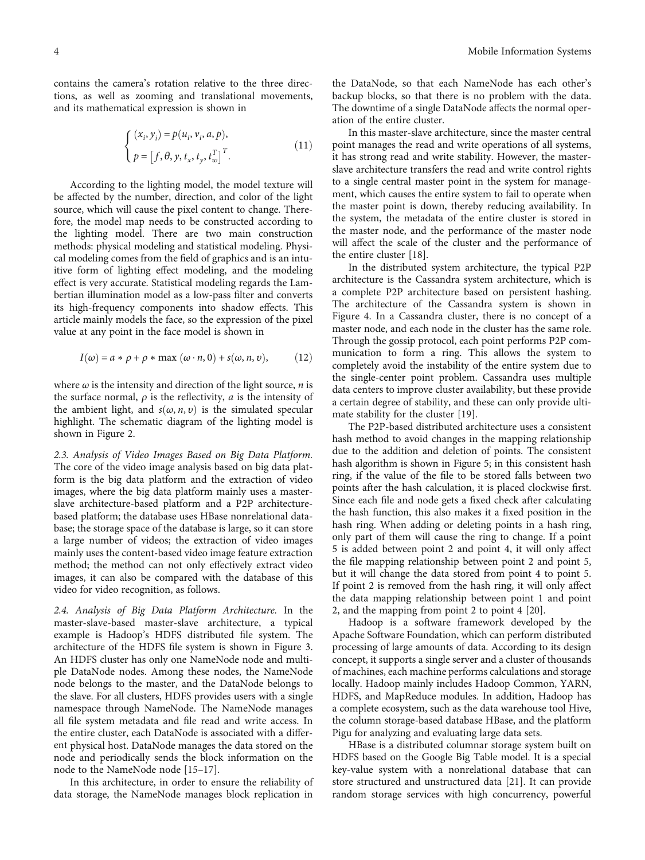contains the camera's rotation relative to the three directions, as well as zooming and translational movements, and its mathematical expression is shown in

$$
\begin{cases} (x_i, y_i) = p(u_i, v_i, a, p), \\ p = [f, \theta, y, t_x, t_y, t_w^T]^T. \end{cases}
$$
\n(11)

According to the lighting model, the model texture will be affected by the number, direction, and color of the light source, which will cause the pixel content to change. Therefore, the model map needs to be constructed according to the lighting model. There are two main construction methods: physical modeling and statistical modeling. Physical modeling comes from the field of graphics and is an intuitive form of lighting effect modeling, and the modeling effect is very accurate. Statistical modeling regards the Lambertian illumination model as a low-pass filter and converts its high-frequency components into shadow effects. This article mainly models the face, so the expression of the pixel value at any point in the face model is shown in

$$
I(\omega) = a * \rho + \rho * \max(\omega \cdot n, 0) + s(\omega, n, \nu), \quad (12)
$$

where  $\omega$  is the intensity and direction of the light source,  $n$  is the surface normal,  $\rho$  is the reflectivity,  $a$  is the intensity of the ambient light, and  $s(\omega, n, \nu)$  is the simulated specular highlight. The schematic diagram of the lighting model is shown in Figure [2](#page-4-0).

2.3. Analysis of Video Images Based on Big Data Platform. The core of the video image analysis based on big data platform is the big data platform and the extraction of video images, where the big data platform mainly uses a masterslave architecture-based platform and a P2P architecturebased platform; the database uses HBase nonrelational database; the storage space of the database is large, so it can store a large number of videos; the extraction of video images mainly uses the content-based video image feature extraction method; the method can not only effectively extract video images, it can also be compared with the database of this video for video recognition, as follows.

2.4. Analysis of Big Data Platform Architecture. In the master-slave-based master-slave architecture, a typical example is Hadoop's HDFS distributed file system. The architecture of the HDFS file system is shown in Figure [3.](#page-4-0) An HDFS cluster has only one NameNode node and multiple DataNode nodes. Among these nodes, the NameNode node belongs to the master, and the DataNode belongs to the slave. For all clusters, HDFS provides users with a single namespace through NameNode. The NameNode manages all file system metadata and file read and write access. In the entire cluster, each DataNode is associated with a different physical host. DataNode manages the data stored on the node and periodically sends the block information on the node to the NameNode node [[15](#page-9-0)–[17\]](#page-9-0).

In this architecture, in order to ensure the reliability of data storage, the NameNode manages block replication in

the DataNode, so that each NameNode has each other's backup blocks, so that there is no problem with the data. The downtime of a single DataNode affects the normal operation of the entire cluster.

In this master-slave architecture, since the master central point manages the read and write operations of all systems, it has strong read and write stability. However, the masterslave architecture transfers the read and write control rights to a single central master point in the system for management, which causes the entire system to fail to operate when the master point is down, thereby reducing availability. In the system, the metadata of the entire cluster is stored in the master node, and the performance of the master node will affect the scale of the cluster and the performance of the entire cluster [\[18\]](#page-9-0).

In the distributed system architecture, the typical P2P architecture is the Cassandra system architecture, which is a complete P2P architecture based on persistent hashing. The architecture of the Cassandra system is shown in Figure [4](#page-4-0). In a Cassandra cluster, there is no concept of a master node, and each node in the cluster has the same role. Through the gossip protocol, each point performs P2P communication to form a ring. This allows the system to completely avoid the instability of the entire system due to the single-center point problem. Cassandra uses multiple data centers to improve cluster availability, but these provide a certain degree of stability, and these can only provide ultimate stability for the cluster [[19\]](#page-9-0).

The P2P-based distributed architecture uses a consistent hash method to avoid changes in the mapping relationship due to the addition and deletion of points. The consistent hash algorithm is shown in Figure [5;](#page-5-0) in this consistent hash ring, if the value of the file to be stored falls between two points after the hash calculation, it is placed clockwise first. Since each file and node gets a fixed check after calculating the hash function, this also makes it a fixed position in the hash ring. When adding or deleting points in a hash ring, only part of them will cause the ring to change. If a point 5 is added between point 2 and point 4, it will only affect the file mapping relationship between point 2 and point 5, but it will change the data stored from point 4 to point 5. If point 2 is removed from the hash ring, it will only affect the data mapping relationship between point 1 and point 2, and the mapping from point 2 to point 4 [\[20\]](#page-9-0).

Hadoop is a software framework developed by the Apache Software Foundation, which can perform distributed processing of large amounts of data. According to its design concept, it supports a single server and a cluster of thousands of machines, each machine performs calculations and storage locally. Hadoop mainly includes Hadoop Common, YARN, HDFS, and MapReduce modules. In addition, Hadoop has a complete ecosystem, such as the data warehouse tool Hive, the column storage-based database HBase, and the platform Pigu for analyzing and evaluating large data sets.

HBase is a distributed columnar storage system built on HDFS based on the Google Big Table model. It is a special key-value system with a nonrelational database that can store structured and unstructured data [[21](#page-9-0)]. It can provide random storage services with high concurrency, powerful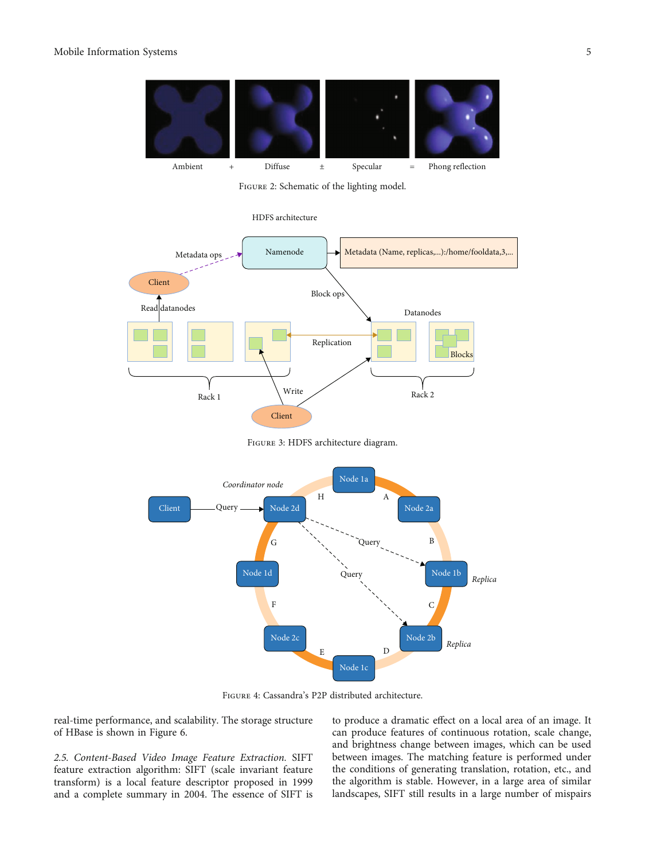<span id="page-4-0"></span>

FIGURE 2: Schematic of the lighting model.





Figure 3: HDFS architecture diagram.



Figure 4: Cassandra's P2P distributed architecture.

real-time performance, and scalability. The storage structure of HBase is shown in Figure [6](#page-6-0).

2.5. Content-Based Video Image Feature Extraction. SIFT feature extraction algorithm: SIFT (scale invariant feature transform) is a local feature descriptor proposed in 1999 and a complete summary in 2004. The essence of SIFT is to produce a dramatic effect on a local area of an image. It can produce features of continuous rotation, scale change, and brightness change between images, which can be used between images. The matching feature is performed under the conditions of generating translation, rotation, etc., and the algorithm is stable. However, in a large area of similar landscapes, SIFT still results in a large number of mispairs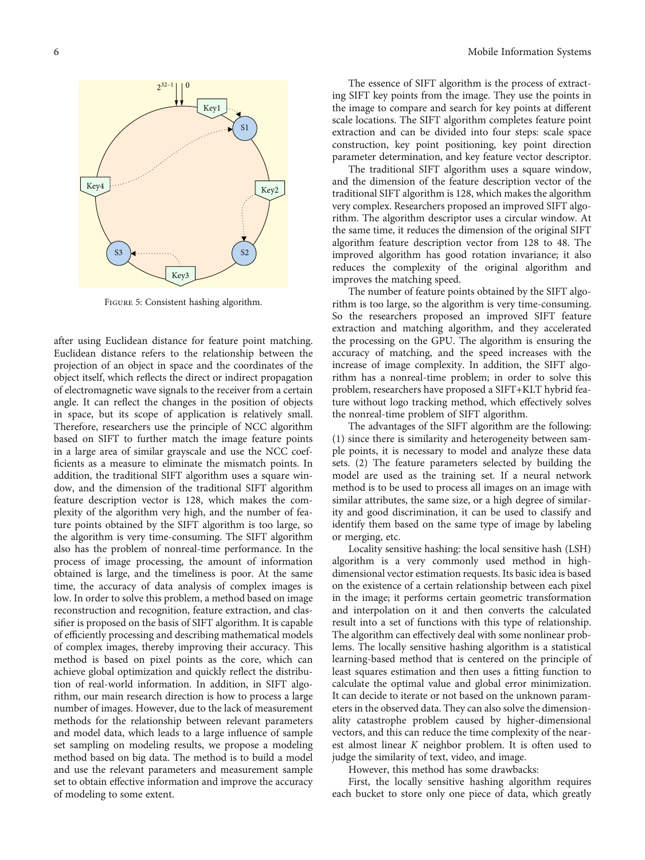<span id="page-5-0"></span>

Figure 5: Consistent hashing algorithm.

after using Euclidean distance for feature point matching. Euclidean distance refers to the relationship between the projection of an object in space and the coordinates of the object itself, which reflects the direct or indirect propagation of electromagnetic wave signals to the receiver from a certain angle. It can reflect the changes in the position of objects in space, but its scope of application is relatively small. Therefore, researchers use the principle of NCC algorithm based on SIFT to further match the image feature points in a large area of similar grayscale and use the NCC coefficients as a measure to eliminate the mismatch points. In addition, the traditional SIFT algorithm uses a square window, and the dimension of the traditional SIFT algorithm feature description vector is 128, which makes the complexity of the algorithm very high, and the number of feature points obtained by the SIFT algorithm is too large, so the algorithm is very time-consuming. The SIFT algorithm also has the problem of nonreal-time performance. In the process of image processing, the amount of information obtained is large, and the timeliness is poor. At the same time, the accuracy of data analysis of complex images is low. In order to solve this problem, a method based on image reconstruction and recognition, feature extraction, and classifier is proposed on the basis of SIFT algorithm. It is capable of efficiently processing and describing mathematical models of complex images, thereby improving their accuracy. This method is based on pixel points as the core, which can achieve global optimization and quickly reflect the distribution of real-world information. In addition, in SIFT algorithm, our main research direction is how to process a large number of images. However, due to the lack of measurement methods for the relationship between relevant parameters and model data, which leads to a large influence of sample set sampling on modeling results, we propose a modeling method based on big data. The method is to build a model and use the relevant parameters and measurement sample set to obtain effective information and improve the accuracy of modeling to some extent.

The essence of SIFT algorithm is the process of extracting SIFT key points from the image. They use the points in the image to compare and search for key points at different scale locations. The SIFT algorithm completes feature point extraction and can be divided into four steps: scale space construction, key point positioning, key point direction parameter determination, and key feature vector descriptor.

The traditional SIFT algorithm uses a square window, and the dimension of the feature description vector of the traditional SIFT algorithm is 128, which makes the algorithm very complex. Researchers proposed an improved SIFT algorithm. The algorithm descriptor uses a circular window. At the same time, it reduces the dimension of the original SIFT algorithm feature description vector from 128 to 48. The improved algorithm has good rotation invariance; it also reduces the complexity of the original algorithm and improves the matching speed.

The number of feature points obtained by the SIFT algorithm is too large, so the algorithm is very time-consuming. So the researchers proposed an improved SIFT feature extraction and matching algorithm, and they accelerated the processing on the GPU. The algorithm is ensuring the accuracy of matching, and the speed increases with the increase of image complexity. In addition, the SIFT algorithm has a nonreal-time problem; in order to solve this problem, researchers have proposed a SIFT+KLT hybrid feature without logo tracking method, which effectively solves the nonreal-time problem of SIFT algorithm.

The advantages of the SIFT algorithm are the following: (1) since there is similarity and heterogeneity between sample points, it is necessary to model and analyze these data sets. (2) The feature parameters selected by building the model are used as the training set. If a neural network method is to be used to process all images on an image with similar attributes, the same size, or a high degree of similarity and good discrimination, it can be used to classify and identify them based on the same type of image by labeling or merging, etc.

Locality sensitive hashing: the local sensitive hash (LSH) algorithm is a very commonly used method in highdimensional vector estimation requests. Its basic idea is based on the existence of a certain relationship between each pixel in the image; it performs certain geometric transformation and interpolation on it and then converts the calculated result into a set of functions with this type of relationship. The algorithm can effectively deal with some nonlinear problems. The locally sensitive hashing algorithm is a statistical learning-based method that is centered on the principle of least squares estimation and then uses a fitting function to calculate the optimal value and global error minimization. It can decide to iterate or not based on the unknown parameters in the observed data. They can also solve the dimensionality catastrophe problem caused by higher-dimensional vectors, and this can reduce the time complexity of the nearest almost linear *K* neighbor problem. It is often used to judge the similarity of text, video, and image.

However, this method has some drawbacks:

First, the locally sensitive hashing algorithm requires each bucket to store only one piece of data, which greatly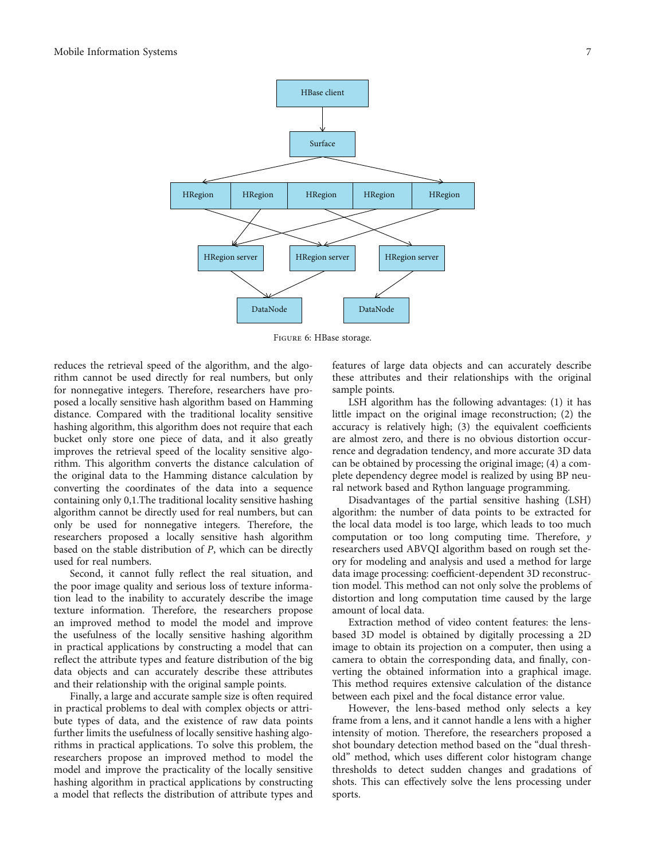<span id="page-6-0"></span>

Figure 6: HBase storage.

reduces the retrieval speed of the algorithm, and the algorithm cannot be used directly for real numbers, but only for nonnegative integers. Therefore, researchers have proposed a locally sensitive hash algorithm based on Hamming distance. Compared with the traditional locality sensitive hashing algorithm, this algorithm does not require that each bucket only store one piece of data, and it also greatly improves the retrieval speed of the locality sensitive algorithm. This algorithm converts the distance calculation of the original data to the Hamming distance calculation by converting the coordinates of the data into a sequence containing only 0,1.The traditional locality sensitive hashing algorithm cannot be directly used for real numbers, but can only be used for nonnegative integers. Therefore, the researchers proposed a locally sensitive hash algorithm based on the stable distribution of *Р*, which can be directly used for real numbers.

Second, it cannot fully reflect the real situation, and the poor image quality and serious loss of texture information lead to the inability to accurately describe the image texture information. Therefore, the researchers propose an improved method to model the model and improve the usefulness of the locally sensitive hashing algorithm in practical applications by constructing a model that can reflect the attribute types and feature distribution of the big data objects and can accurately describe these attributes and their relationship with the original sample points.

Finally, a large and accurate sample size is often required in practical problems to deal with complex objects or attribute types of data, and the existence of raw data points further limits the usefulness of locally sensitive hashing algorithms in practical applications. To solve this problem, the researchers propose an improved method to model the model and improve the practicality of the locally sensitive hashing algorithm in practical applications by constructing a model that reflects the distribution of attribute types and

features of large data objects and can accurately describe these attributes and their relationships with the original sample points.

LSH algorithm has the following advantages: (1) it has little impact on the original image reconstruction; (2) the accuracy is relatively high; (3) the equivalent coefficients are almost zero, and there is no obvious distortion occurrence and degradation tendency, and more accurate 3D data can be obtained by processing the original image; (4) a complete dependency degree model is realized by using BP neural network based and Rython language programming.

Disadvantages of the partial sensitive hashing (LSH) algorithm: the number of data points to be extracted for the local data model is too large, which leads to too much computation or too long computing time. Therefore, *y* researchers used ABVQI algorithm based on rough set theory for modeling and analysis and used a method for large data image processing: coefficient-dependent 3D reconstruction model. This method can not only solve the problems of distortion and long computation time caused by the large amount of local data.

Extraction method of video content features: the lensbased 3D model is obtained by digitally processing a 2D image to obtain its projection on a computer, then using a camera to obtain the corresponding data, and finally, converting the obtained information into a graphical image. This method requires extensive calculation of the distance between each pixel and the focal distance error value.

However, the lens-based method only selects a key frame from a lens, and it cannot handle a lens with a higher intensity of motion. Therefore, the researchers proposed a shot boundary detection method based on the "dual threshold" method, which uses different color histogram change thresholds to detect sudden changes and gradations of shots. This can effectively solve the lens processing under sports.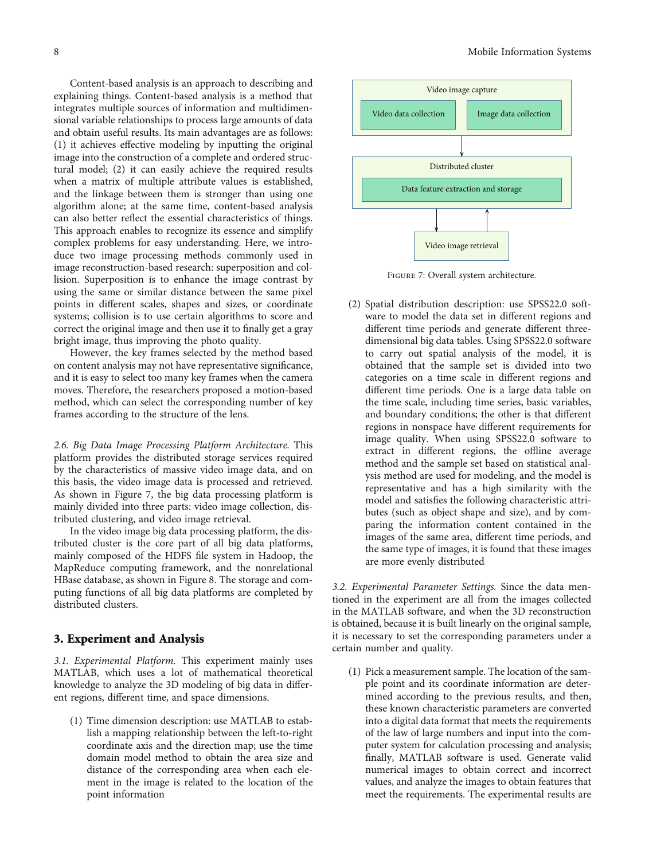Content-based analysis is an approach to describing and explaining things. Content-based analysis is a method that integrates multiple sources of information and multidimensional variable relationships to process large amounts of data and obtain useful results. Its main advantages are as follows: (1) it achieves effective modeling by inputting the original image into the construction of a complete and ordered structural model; (2) it can easily achieve the required results when a matrix of multiple attribute values is established, and the linkage between them is stronger than using one algorithm alone; at the same time, content-based analysis can also better reflect the essential characteristics of things. This approach enables to recognize its essence and simplify complex problems for easy understanding. Here, we introduce two image processing methods commonly used in image reconstruction-based research: superposition and collision. Superposition is to enhance the image contrast by using the same or similar distance between the same pixel points in different scales, shapes and sizes, or coordinate systems; collision is to use certain algorithms to score and correct the original image and then use it to finally get a gray bright image, thus improving the photo quality.

However, the key frames selected by the method based on content analysis may not have representative significance, and it is easy to select too many key frames when the camera moves. Therefore, the researchers proposed a motion-based method, which can select the corresponding number of key frames according to the structure of the lens.

2.6. Big Data Image Processing Platform Architecture. This platform provides the distributed storage services required by the characteristics of massive video image data, and on this basis, the video image data is processed and retrieved. As shown in Figure 7, the big data processing platform is mainly divided into three parts: video image collection, distributed clustering, and video image retrieval.

In the video image big data processing platform, the distributed cluster is the core part of all big data platforms, mainly composed of the HDFS file system in Hadoop, the MapReduce computing framework, and the nonrelational HBase database, as shown in Figure [8](#page-8-0). The storage and computing functions of all big data platforms are completed by distributed clusters.

#### 3. Experiment and Analysis

3.1. Experimental Platform. This experiment mainly uses MATLAB, which uses a lot of mathematical theoretical knowledge to analyze the 3D modeling of big data in different regions, different time, and space dimensions.

(1) Time dimension description: use MATLAB to establish a mapping relationship between the left-to-right coordinate axis and the direction map; use the time domain model method to obtain the area size and distance of the corresponding area when each element in the image is related to the location of the point information



Figure 7: Overall system architecture.

(2) Spatial distribution description: use SPSS22.0 software to model the data set in different regions and different time periods and generate different threedimensional big data tables. Using SPSS22.0 software to carry out spatial analysis of the model, it is obtained that the sample set is divided into two categories on a time scale in different regions and different time periods. One is a large data table on the time scale, including time series, basic variables, and boundary conditions; the other is that different regions in nonspace have different requirements for image quality. When using SPSS22.0 software to extract in different regions, the offline average method and the sample set based on statistical analysis method are used for modeling, and the model is representative and has a high similarity with the model and satisfies the following characteristic attributes (such as object shape and size), and by comparing the information content contained in the images of the same area, different time periods, and the same type of images, it is found that these images are more evenly distributed

3.2. Experimental Parameter Settings. Since the data mentioned in the experiment are all from the images collected in the MATLAB software, and when the 3D reconstruction is obtained, because it is built linearly on the original sample, it is necessary to set the corresponding parameters under a certain number and quality.

(1) Pick a measurement sample. The location of the sample point and its coordinate information are determined according to the previous results, and then, these known characteristic parameters are converted into a digital data format that meets the requirements of the law of large numbers and input into the computer system for calculation processing and analysis; finally, MATLAB software is used. Generate valid numerical images to obtain correct and incorrect values, and analyze the images to obtain features that meet the requirements. The experimental results are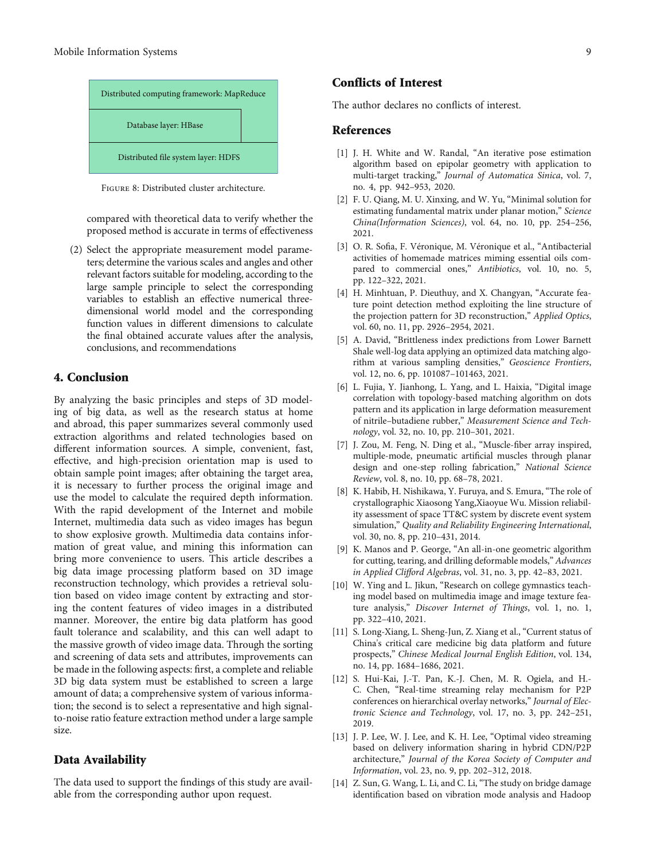<span id="page-8-0"></span>

Figure 8: Distributed cluster architecture.

compared with theoretical data to verify whether the proposed method is accurate in terms of effectiveness

(2) Select the appropriate measurement model parameters; determine the various scales and angles and other relevant factors suitable for modeling, according to the large sample principle to select the corresponding variables to establish an effective numerical threedimensional world model and the corresponding function values in different dimensions to calculate the final obtained accurate values after the analysis, conclusions, and recommendations

## 4. Conclusion

By analyzing the basic principles and steps of 3D modeling of big data, as well as the research status at home and abroad, this paper summarizes several commonly used extraction algorithms and related technologies based on different information sources. A simple, convenient, fast, effective, and high-precision orientation map is used to obtain sample point images; after obtaining the target area, it is necessary to further process the original image and use the model to calculate the required depth information. With the rapid development of the Internet and mobile Internet, multimedia data such as video images has begun to show explosive growth. Multimedia data contains information of great value, and mining this information can bring more convenience to users. This article describes a big data image processing platform based on 3D image reconstruction technology, which provides a retrieval solution based on video image content by extracting and storing the content features of video images in a distributed manner. Moreover, the entire big data platform has good fault tolerance and scalability, and this can well adapt to the massive growth of video image data. Through the sorting and screening of data sets and attributes, improvements can be made in the following aspects: first, a complete and reliable 3D big data system must be established to screen a large amount of data; a comprehensive system of various information; the second is to select a representative and high signalto-noise ratio feature extraction method under a large sample size.

#### Data Availability

The data used to support the findings of this study are available from the corresponding author upon request.

## Conflicts of Interest

The author declares no conflicts of interest.

#### References

- [1] J. H. White and W. Randal, "An iterative pose estimation algorithm based on epipolar geometry with application to multi-target tracking," Journal of Automatica Sinica, vol. 7, no. 4, pp. 942–953, 2020.
- [2] F. U. Qiang, M. U. Xinxing, and W. Yu, "Minimal solution for estimating fundamental matrix under planar motion," Science China(Information Sciences), vol. 64, no. 10, pp. 254–256, 2021.
- [3] O. R. Sofia, F. Véronique, M. Véronique et al., "Antibacterial activities of homemade matrices miming essential oils compared to commercial ones," Antibiotics, vol. 10, no. 5, pp. 122–322, 2021.
- [4] H. Minhtuan, P. Dieuthuy, and X. Changyan, "Accurate feature point detection method exploiting the line structure of the projection pattern for 3D reconstruction," Applied Optics, vol. 60, no. 11, pp. 2926–2954, 2021.
- [5] A. David, "Brittleness index predictions from Lower Barnett Shale well-log data applying an optimized data matching algorithm at various sampling densities," Geoscience Frontiers, vol. 12, no. 6, pp. 101087–101463, 2021.
- [6] L. Fujia, Y. Jianhong, L. Yang, and L. Haixia, "Digital image correlation with topology-based matching algorithm on dots pattern and its application in large deformation measurement of nitrile–butadiene rubber," Measurement Science and Technology, vol. 32, no. 10, pp. 210–301, 2021.
- [7] J. Zou, M. Feng, N. Ding et al., "Muscle-fiber array inspired, multiple-mode, pneumatic artificial muscles through planar design and one-step rolling fabrication," National Science Review, vol. 8, no. 10, pp. 68–78, 2021.
- [8] K. Habib, H. Nishikawa, Y. Furuya, and S. Emura, "The role of crystallographic Xiaosong Yang,Xiaoyue Wu. Mission reliability assessment of space TT&C system by discrete event system simulation," Quality and Reliability Engineering International, vol. 30, no. 8, pp. 210–431, 2014.
- [9] K. Manos and P. George, "An all-in-one geometric algorithm for cutting, tearing, and drilling deformable models," Advances in Applied Clifford Algebras, vol. 31, no. 3, pp. 42–83, 2021.
- [10] W. Ying and L. Jikun, "Research on college gymnastics teaching model based on multimedia image and image texture feature analysis," Discover Internet of Things, vol. 1, no. 1, pp. 322–410, 2021.
- [11] S. Long-Xiang, L. Sheng-Jun, Z. Xiang et al., "Current status of China's critical care medicine big data platform and future prospects," Chinese Medical Journal English Edition, vol. 134, no. 14, pp. 1684–1686, 2021.
- [12] S. Hui-Kai, J.-T. Pan, K.-J. Chen, M. R. Ogiela, and H.- C. Chen, "Real-time streaming relay mechanism for P2P conferences on hierarchical overlay networks," Journal of Electronic Science and Technology, vol. 17, no. 3, pp. 242–251, 2019.
- [13] J. P. Lee, W. J. Lee, and K. H. Lee, "Optimal video streaming based on delivery information sharing in hybrid CDN/P2P architecture," Journal of the Korea Society of Computer and Information, vol. 23, no. 9, pp. 202–312, 2018.
- [14] Z. Sun, G. Wang, L. Li, and C. Li, "The study on bridge damage identification based on vibration mode analysis and Hadoop